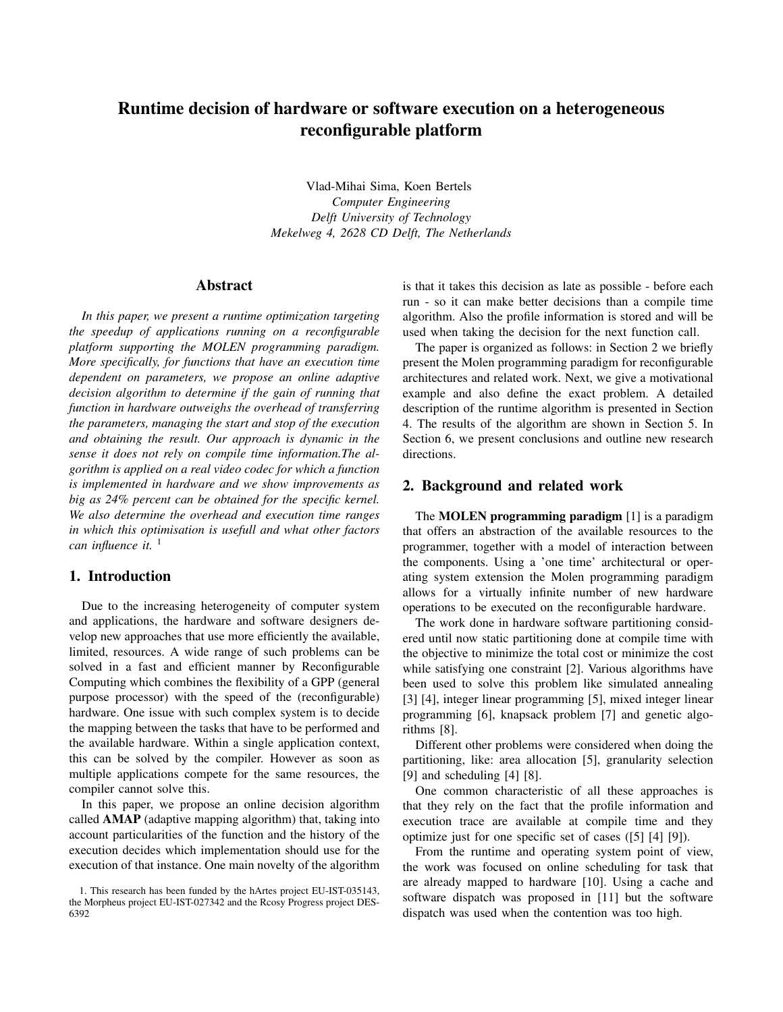# Runtime decision of hardware or software execution on a heterogeneous reconfigurable platform

Vlad-Mihai Sima, Koen Bertels *Computer Engineering Delft University of Technology Mekelweg 4, 2628 CD Delft, The Netherlands*

## Abstract

*In this paper, we present a runtime optimization targeting the speedup of applications running on a reconfigurable platform supporting the MOLEN programming paradigm. More specifically, for functions that have an execution time dependent on parameters, we propose an online adaptive decision algorithm to determine if the gain of running that function in hardware outweighs the overhead of transferring the parameters, managing the start and stop of the execution and obtaining the result. Our approach is dynamic in the sense it does not rely on compile time information.The algorithm is applied on a real video codec for which a function is implemented in hardware and we show improvements as big as 24% percent can be obtained for the specific kernel. We also determine the overhead and execution time ranges in which this optimisation is usefull and what other factors can influence it.* <sup>1</sup>

## 1. Introduction

Due to the increasing heterogeneity of computer system and applications, the hardware and software designers develop new approaches that use more efficiently the available, limited, resources. A wide range of such problems can be solved in a fast and efficient manner by Reconfigurable Computing which combines the flexibility of a GPP (general purpose processor) with the speed of the (reconfigurable) hardware. One issue with such complex system is to decide the mapping between the tasks that have to be performed and the available hardware. Within a single application context, this can be solved by the compiler. However as soon as multiple applications compete for the same resources, the compiler cannot solve this.

In this paper, we propose an online decision algorithm called AMAP (adaptive mapping algorithm) that, taking into account particularities of the function and the history of the execution decides which implementation should use for the execution of that instance. One main novelty of the algorithm is that it takes this decision as late as possible - before each run - so it can make better decisions than a compile time algorithm. Also the profile information is stored and will be used when taking the decision for the next function call.

The paper is organized as follows: in Section 2 we briefly present the Molen programming paradigm for reconfigurable architectures and related work. Next, we give a motivational example and also define the exact problem. A detailed description of the runtime algorithm is presented in Section 4. The results of the algorithm are shown in Section 5. In Section 6, we present conclusions and outline new research directions.

## 2. Background and related work

The MOLEN programming paradigm [1] is a paradigm that offers an abstraction of the available resources to the programmer, together with a model of interaction between the components. Using a 'one time' architectural or operating system extension the Molen programming paradigm allows for a virtually infinite number of new hardware operations to be executed on the reconfigurable hardware.

The work done in hardware software partitioning considered until now static partitioning done at compile time with the objective to minimize the total cost or minimize the cost while satisfying one constraint [2]. Various algorithms have been used to solve this problem like simulated annealing [3] [4], integer linear programming [5], mixed integer linear programming [6], knapsack problem [7] and genetic algorithms [8].

Different other problems were considered when doing the partitioning, like: area allocation [5], granularity selection [9] and scheduling [4] [8].

One common characteristic of all these approaches is that they rely on the fact that the profile information and execution trace are available at compile time and they optimize just for one specific set of cases ([5] [4] [9]).

From the runtime and operating system point of view, the work was focused on online scheduling for task that are already mapped to hardware [10]. Using a cache and software dispatch was proposed in [11] but the software dispatch was used when the contention was too high.

<sup>1.</sup> This research has been funded by the hArtes project EU-IST-035143, the Morpheus project EU-IST-027342 and the Rcosy Progress project DES-6392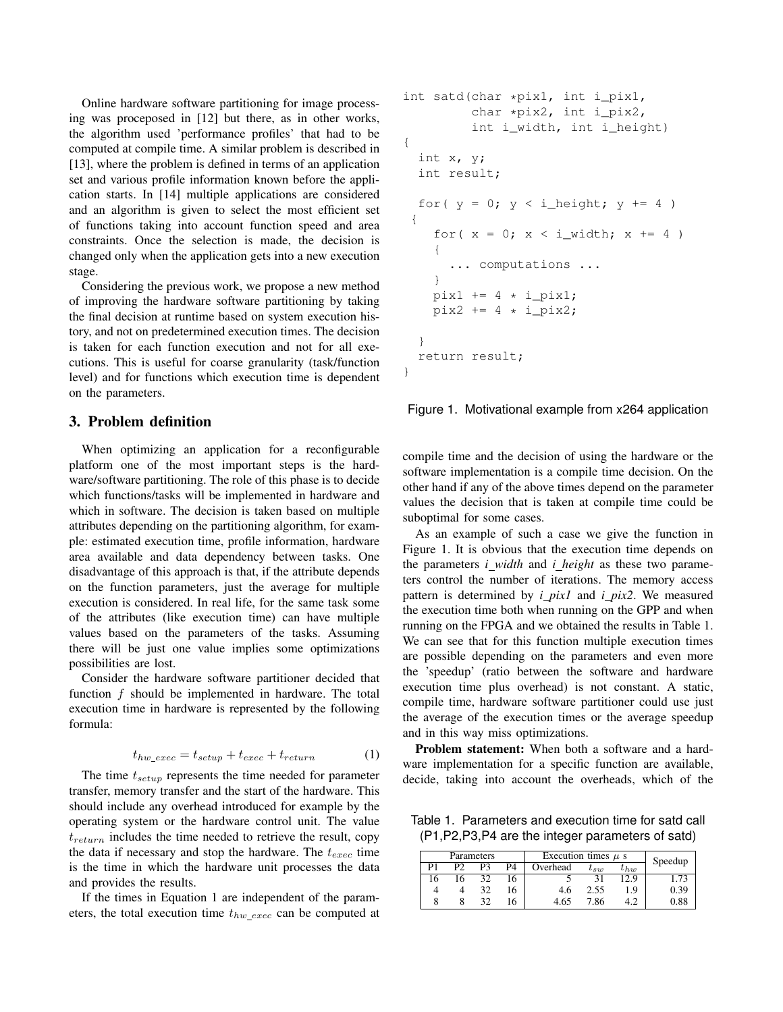Online hardware software partitioning for image processing was proceposed in [12] but there, as in other works, the algorithm used 'performance profiles' that had to be computed at compile time. A similar problem is described in [13], where the problem is defined in terms of an application set and various profile information known before the application starts. In [14] multiple applications are considered and an algorithm is given to select the most efficient set of functions taking into account function speed and area constraints. Once the selection is made, the decision is changed only when the application gets into a new execution stage.

Considering the previous work, we propose a new method of improving the hardware software partitioning by taking the final decision at runtime based on system execution history, and not on predetermined execution times. The decision is taken for each function execution and not for all executions. This is useful for coarse granularity (task/function level) and for functions which execution time is dependent on the parameters.

# 3. Problem definition

When optimizing an application for a reconfigurable platform one of the most important steps is the hardware/software partitioning. The role of this phase is to decide which functions/tasks will be implemented in hardware and which in software. The decision is taken based on multiple attributes depending on the partitioning algorithm, for example: estimated execution time, profile information, hardware area available and data dependency between tasks. One disadvantage of this approach is that, if the attribute depends on the function parameters, just the average for multiple execution is considered. In real life, for the same task some of the attributes (like execution time) can have multiple values based on the parameters of the tasks. Assuming there will be just one value implies some optimizations possibilities are lost.

Consider the hardware software partitioner decided that function  $f$  should be implemented in hardware. The total execution time in hardware is represented by the following formula:

$$
t_{hw\_exec} = t_{setup} + t_{exec} + t_{return}
$$
 (1)

The time  $t_{setup}$  represents the time needed for parameter transfer, memory transfer and the start of the hardware. This should include any overhead introduced for example by the operating system or the hardware control unit. The value  $t_{return}$  includes the time needed to retrieve the result, copy the data if necessary and stop the hardware. The  $t_{exec}$  time is the time in which the hardware unit processes the data and provides the results.

If the times in Equation 1 are independent of the parameters, the total execution time  $t_{hw\_exec}$  can be computed at

```
int satd(char *pix1, int i_pix1,
         char *pix2, int i_pix2,
         int i_width, int i_height)
{
 int x, y;
 int result;
  for(y = 0; y < i height; y == 4)
 {
    for(x = 0; x < i width; x \rightarrow i )
    {
      ... computations ...
    }
    pix1 += 4 * i\_pix1;pix2 += 4 * i pix2;
 }
  return result;
}
```
#### Figure 1. Motivational example from x264 application

compile time and the decision of using the hardware or the software implementation is a compile time decision. On the other hand if any of the above times depend on the parameter values the decision that is taken at compile time could be suboptimal for some cases.

As an example of such a case we give the function in Figure 1. It is obvious that the execution time depends on the parameters *i width* and *i height* as these two parameters control the number of iterations. The memory access pattern is determined by *i pix1* and *i pix2*. We measured the execution time both when running on the GPP and when running on the FPGA and we obtained the results in Table 1. We can see that for this function multiple execution times are possible depending on the parameters and even more the 'speedup' (ratio between the software and hardware execution time plus overhead) is not constant. A static, compile time, hardware software partitioner could use just the average of the execution times or the average speedup and in this way miss optimizations.

Problem statement: When both a software and a hardware implementation for a specific function are available, decide, taking into account the overheads, which of the

Table 1. Parameters and execution time for satd call (P1,P2,P3,P4 are the integer parameters of satd)

| Parameters |    |                |    | Execution times $\mu$ s |                      |           | Speedup |
|------------|----|----------------|----|-------------------------|----------------------|-----------|---------|
| P1         |    |                | P4 | Overhead                | $\overline{t}_{S2D}$ | $t_{huv}$ |         |
|            | 16 | 32             | 6  |                         |                      | 12.9      |         |
|            |    | 32             | 6  | 4.6                     | 2.55                 | í9        | 0.39    |
|            |    | $\mathfrak{D}$ | h  | 4.65                    | 7.86                 |           | 0.88    |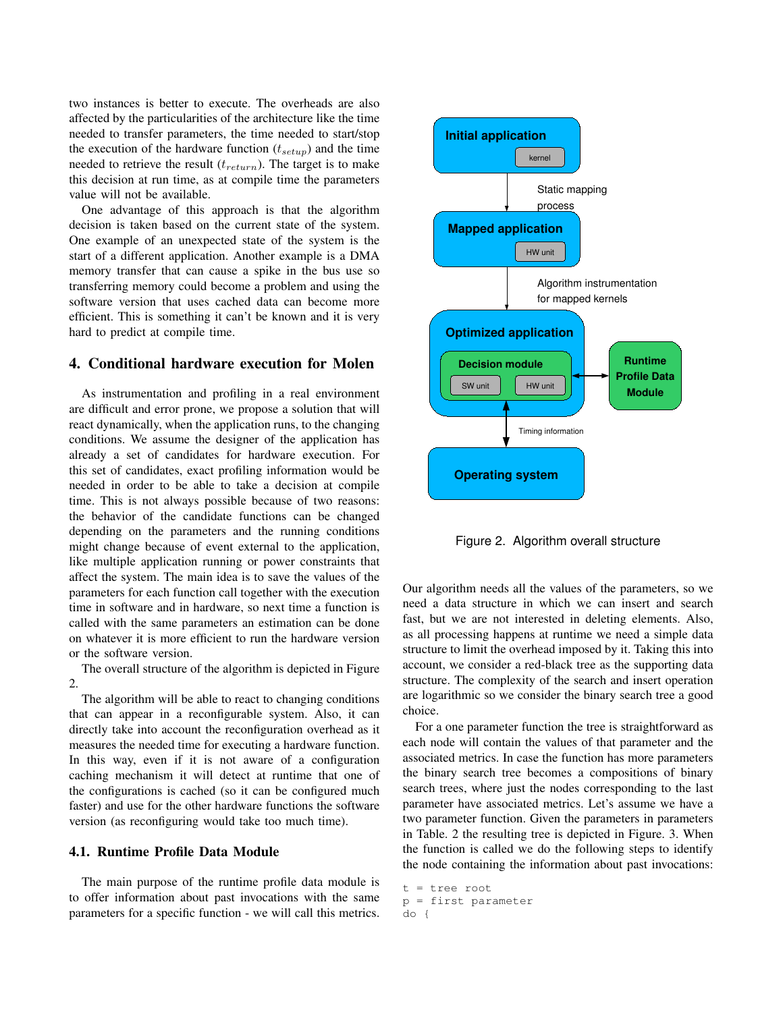two instances is better to execute. The overheads are also affected by the particularities of the architecture like the time needed to transfer parameters, the time needed to start/stop the execution of the hardware function  $(t_{setup})$  and the time needed to retrieve the result  $(t_{return})$ . The target is to make this decision at run time, as at compile time the parameters value will not be available.

One advantage of this approach is that the algorithm decision is taken based on the current state of the system. One example of an unexpected state of the system is the start of a different application. Another example is a DMA memory transfer that can cause a spike in the bus use so transferring memory could become a problem and using the software version that uses cached data can become more efficient. This is something it can't be known and it is very hard to predict at compile time.

## 4. Conditional hardware execution for Molen

As instrumentation and profiling in a real environment are difficult and error prone, we propose a solution that will react dynamically, when the application runs, to the changing conditions. We assume the designer of the application has already a set of candidates for hardware execution. For this set of candidates, exact profiling information would be needed in order to be able to take a decision at compile time. This is not always possible because of two reasons: the behavior of the candidate functions can be changed depending on the parameters and the running conditions might change because of event external to the application, like multiple application running or power constraints that affect the system. The main idea is to save the values of the parameters for each function call together with the execution time in software and in hardware, so next time a function is called with the same parameters an estimation can be done on whatever it is more efficient to run the hardware version or the software version.

The overall structure of the algorithm is depicted in Figure 2.

The algorithm will be able to react to changing conditions that can appear in a reconfigurable system. Also, it can directly take into account the reconfiguration overhead as it measures the needed time for executing a hardware function. In this way, even if it is not aware of a configuration caching mechanism it will detect at runtime that one of the configurations is cached (so it can be configured much faster) and use for the other hardware functions the software version (as reconfiguring would take too much time).

### 4.1. Runtime Profile Data Module

The main purpose of the runtime profile data module is to offer information about past invocations with the same parameters for a specific function - we will call this metrics.



Figure 2. Algorithm overall structure

Our algorithm needs all the values of the parameters, so we need a data structure in which we can insert and search fast, but we are not interested in deleting elements. Also, as all processing happens at runtime we need a simple data structure to limit the overhead imposed by it. Taking this into account, we consider a red-black tree as the supporting data structure. The complexity of the search and insert operation are logarithmic so we consider the binary search tree a good choice.

For a one parameter function the tree is straightforward as each node will contain the values of that parameter and the associated metrics. In case the function has more parameters the binary search tree becomes a compositions of binary search trees, where just the nodes corresponding to the last parameter have associated metrics. Let's assume we have a two parameter function. Given the parameters in parameters in Table. 2 the resulting tree is depicted in Figure. 3. When the function is called we do the following steps to identify the node containing the information about past invocations:

```
t = tree root
p = first parameter
do {
```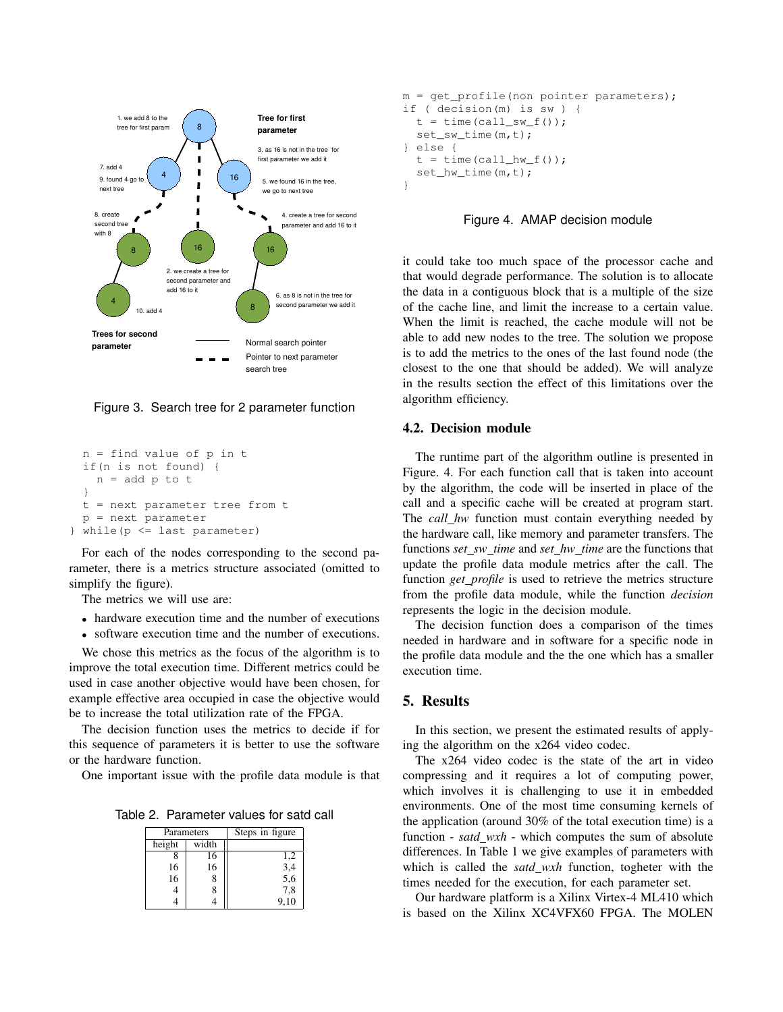

Figure 3. Search tree for 2 parameter function

```
n = find value of p in t
 if(n is not found) {
   n = add p to t}
 t = next parameter tree from t
 p = next parameter
} while(p <= last parameter)
```
For each of the nodes corresponding to the second parameter, there is a metrics structure associated (omitted to simplify the figure).

The metrics we will use are:

- hardware execution time and the number of executions
- software execution time and the number of executions.

We chose this metrics as the focus of the algorithm is to improve the total execution time. Different metrics could be used in case another objective would have been chosen, for example effective area occupied in case the objective would be to increase the total utilization rate of the FPGA.

The decision function uses the metrics to decide if for this sequence of parameters it is better to use the software or the hardware function.

One important issue with the profile data module is that

Table 2. Parameter values for satd call

|        |       | Steps in figure |
|--------|-------|-----------------|
| height | width |                 |
|        | 16    | 1,2             |
| 16     | 16    | $3,4$<br>$5,6$  |
| 16     |       |                 |
|        |       | 7,8             |
|        |       | 9.10            |
|        |       | Parameters      |

```
m = get_profile(non pointer parameters);
if ( decision(m) is sw ) {
  t = time(call sw f());
  set_sw_time(m,t);
} else {
  t = time(call_hw_f());
  set_hw_time(m,t);
}
```


it could take too much space of the processor cache and that would degrade performance. The solution is to allocate the data in a contiguous block that is a multiple of the size of the cache line, and limit the increase to a certain value. When the limit is reached, the cache module will not be able to add new nodes to the tree. The solution we propose is to add the metrics to the ones of the last found node (the closest to the one that should be added). We will analyze in the results section the effect of this limitations over the algorithm efficiency.

## 4.2. Decision module

The runtime part of the algorithm outline is presented in Figure. 4. For each function call that is taken into account by the algorithm, the code will be inserted in place of the call and a specific cache will be created at program start. The *call\_hw* function must contain everything needed by the hardware call, like memory and parameter transfers. The functions *set sw time* and *set hw time* are the functions that update the profile data module metrics after the call. The function *get profile* is used to retrieve the metrics structure from the profile data module, while the function *decision* represents the logic in the decision module.

The decision function does a comparison of the times needed in hardware and in software for a specific node in the profile data module and the the one which has a smaller execution time.

## 5. Results

In this section, we present the estimated results of applying the algorithm on the x264 video codec.

The x264 video codec is the state of the art in video compressing and it requires a lot of computing power, which involves it is challenging to use it in embedded environments. One of the most time consuming kernels of the application (around 30% of the total execution time) is a function - *satd wxh* - which computes the sum of absolute differences. In Table 1 we give examples of parameters with which is called the *satd wxh* function, togheter with the times needed for the execution, for each parameter set.

Our hardware platform is a Xilinx Virtex-4 ML410 which is based on the Xilinx XC4VFX60 FPGA. The MOLEN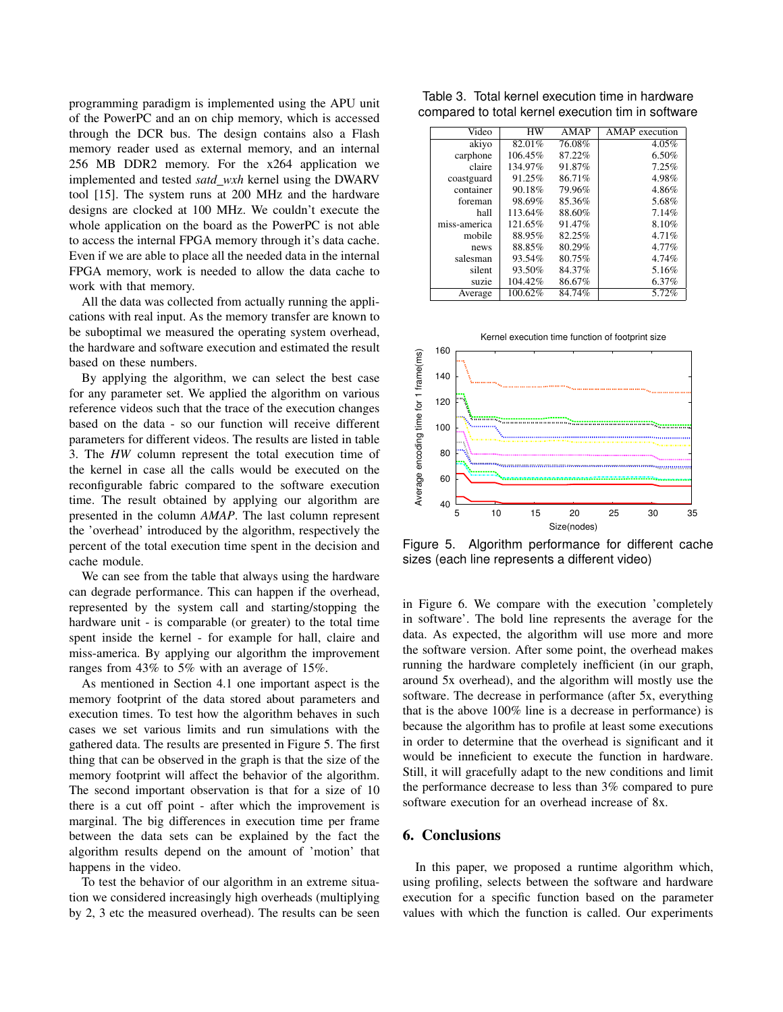programming paradigm is implemented using the APU unit of the PowerPC and an on chip memory, which is accessed through the DCR bus. The design contains also a Flash memory reader used as external memory, and an internal 256 MB DDR2 memory. For the x264 application we implemented and tested *satd wxh* kernel using the DWARV tool [15]. The system runs at 200 MHz and the hardware designs are clocked at 100 MHz. We couldn't execute the whole application on the board as the PowerPC is not able to access the internal FPGA memory through it's data cache. Even if we are able to place all the needed data in the internal FPGA memory, work is needed to allow the data cache to work with that memory.

All the data was collected from actually running the applications with real input. As the memory transfer are known to be suboptimal we measured the operating system overhead, the hardware and software execution and estimated the result based on these numbers.

By applying the algorithm, we can select the best case for any parameter set. We applied the algorithm on various reference videos such that the trace of the execution changes based on the data - so our function will receive different parameters for different videos. The results are listed in table 3. The *HW* column represent the total execution time of the kernel in case all the calls would be executed on the reconfigurable fabric compared to the software execution time. The result obtained by applying our algorithm are presented in the column *AMAP*. The last column represent the 'overhead' introduced by the algorithm, respectively the percent of the total execution time spent in the decision and cache module.

We can see from the table that always using the hardware can degrade performance. This can happen if the overhead, represented by the system call and starting/stopping the hardware unit - is comparable (or greater) to the total time spent inside the kernel - for example for hall, claire and miss-america. By applying our algorithm the improvement ranges from 43% to 5% with an average of 15%.

As mentioned in Section 4.1 one important aspect is the memory footprint of the data stored about parameters and execution times. To test how the algorithm behaves in such cases we set various limits and run simulations with the gathered data. The results are presented in Figure 5. The first thing that can be observed in the graph is that the size of the memory footprint will affect the behavior of the algorithm. The second important observation is that for a size of 10 there is a cut off point - after which the improvement is marginal. The big differences in execution time per frame between the data sets can be explained by the fact the algorithm results depend on the amount of 'motion' that happens in the video.

To test the behavior of our algorithm in an extreme situation we considered increasingly high overheads (multiplying by 2, 3 etc the measured overhead). The results can be seen

Table 3. Total kernel execution time in hardware compared to total kernel execution tim in software

| Video        | <b>HW</b> | AMAP   | <b>AMAP</b> execution |
|--------------|-----------|--------|-----------------------|
| akiyo        | 82.01%    | 76.08% | 4.05%                 |
| carphone     | 106.45%   | 87.22% | 6.50%                 |
| claire       | 134.97%   | 91.87% | 7.25%                 |
| coastguard   | 91.25%    | 86.71% | 4.98%                 |
| container    | 90.18%    | 79.96% | 4.86%                 |
| foreman      | 98.69%    | 85.36% | 5.68%                 |
| hall         | 113.64%   | 88.60% | 7.14%                 |
| miss-america | 121.65%   | 91.47% | 8.10%                 |
| mobile       | 88.95%    | 82.25% | 4.71%                 |
| news         | 88.85%    | 80.29% | 4.77%                 |
| salesman     | 93.54%    | 80.75% | 4.74%                 |
| silent       | 93.50%    | 84.37% | 5.16%                 |
| suzie        | 104.42%   | 86.67% | 6.37%                 |
| Average      | 100.62%   | 84.74% | 5.72%                 |





Figure 5. Algorithm performance for different cache sizes (each line represents a different video)

in Figure 6. We compare with the execution 'completely in software'. The bold line represents the average for the data. As expected, the algorithm will use more and more the software version. After some point, the overhead makes running the hardware completely inefficient (in our graph, around 5x overhead), and the algorithm will mostly use the software. The decrease in performance (after 5x, everything that is the above 100% line is a decrease in performance) is because the algorithm has to profile at least some executions in order to determine that the overhead is significant and it would be inneficient to execute the function in hardware. Still, it will gracefully adapt to the new conditions and limit the performance decrease to less than 3% compared to pure software execution for an overhead increase of 8x.

### 6. Conclusions

In this paper, we proposed a runtime algorithm which, using profiling, selects between the software and hardware execution for a specific function based on the parameter values with which the function is called. Our experiments